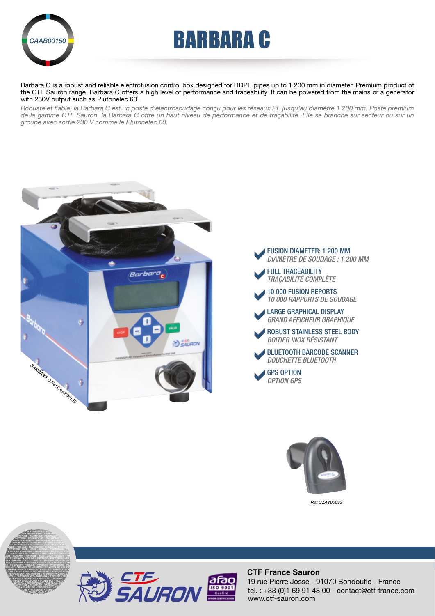

# AAB00150**BARBARA C**

Barbara C is a robust and reliable electrofusion control box designed for HDPE pipes up to 1 200 mm in diameter. Premium product of the CTF Sauron range, Barbara C offers a high level of performance and traceability. It can be powered from the mains or a generator with 230V output such as Plutonelec 60.

*Robuste et fiable, la Barbara C est un poste d'électrosoudage conçu pour les réseaux PE jusqu'au diamètre 1 200 mm. Poste premium de la gamme CTF Sauron, la Barbara C offre un haut niveau de performance et de traçabilité. Elle se branche sur secteur ou sur un groupe avec sortie 230 V comme le Plutonelec 60.*







*Ref.CZAY00093*



PROLINE • PIPEFUSE • PROTOFUSE • PILOTFUSE • CROCOPLAST • TRANSPILOT • THERMOPLAST • PIPEFUSE • EMIE • PILOTFUSE • PILOTFUSE • PILOTFUSE • PILOTFUSE • PRODUCTS **PILOT • TRANSPILOT • PLUT PLOTON • THERMOPLAST • BARBARA • JULIE • PILOTFUSE • POSIPLAST • PROLINE • PROPERTIES** 

ONDINE • PROTOFUSE • PILOTFUSE • POSIPLAST • PROLINE • PIPEFUSE • PROTOFUSE • PILOTFUSE • CROCOPLAST • TRANSPILOT • PLUTONELEC • PROLINE



#### **CTF France Sauron**

tel. : +33 (0)1 69 91 48 00 - contact@ctf-france.com www.ctf-sauron.com 19 rue Pierre Josse - 91070 Bondoufle - France